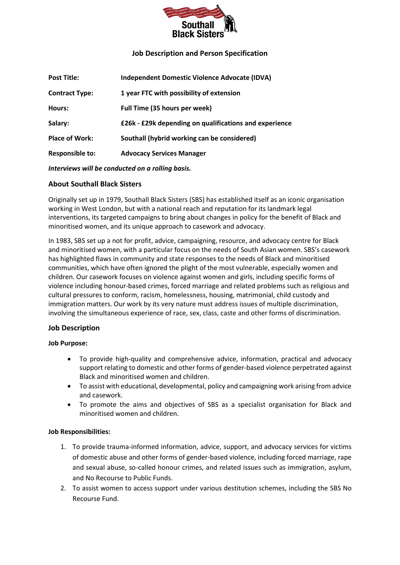

## **Job Description and Person Specification**

| <b>Independent Domestic Violence Advocate (IDVA)</b>   |
|--------------------------------------------------------|
| 1 year FTC with possibility of extension               |
| Full Time (35 hours per week)                          |
| £26k - £29k depending on qualifications and experience |
| Southall (hybrid working can be considered)            |
| <b>Advocacy Services Manager</b>                       |
|                                                        |

*Interviews will be conducted on a rolling basis.*

### **About Southall Black Sisters**

Originally set up in 1979, Southall Black Sisters (SBS) has established itself as an iconic organisation working in West London, but with a national reach and reputation for its landmark legal interventions, its targeted campaigns to bring about changes in policy for the benefit of Black and minoritised women, and its unique approach to casework and advocacy.

In 1983, SBS set up a not for profit, advice, campaigning, resource, and advocacy centre for Black and minoritised women, with a particular focus on the needs of South Asian women. SBS's casework has highlighted flaws in community and state responses to the needs of Black and minoritised communities, which have often ignored the plight of the most vulnerable, especially women and children. Our casework focuses on violence against women and girls, including specific forms of violence including honour-based crimes, forced marriage and related problems such as religious and cultural pressures to conform, racism, homelessness, housing, matrimonial, child custody and immigration matters. Our work by its very nature must address issues of multiple discrimination, involving the simultaneous experience of race, sex, class, caste and other forms of discrimination.

### **Job Description**

### **Job Purpose:**

- To provide high-quality and comprehensive advice, information, practical and advocacy support relating to domestic and other forms of gender-based violence perpetrated against Black and minoritised women and children.
- To assist with educational, developmental, policy and campaigning work arising from advice and casework.
- To promote the aims and objectives of SBS as a specialist organisation for Black and minoritised women and children.

#### **Job Responsibilities:**

- 1. To provide trauma-informed information, advice, support, and advocacy services for victims of domestic abuse and other forms of gender-based violence, including forced marriage, rape and sexual abuse, so-called honour crimes, and related issues such as immigration, asylum, and No Recourse to Public Funds.
- 2. To assist women to access support under various destitution schemes, including the SBS No Recourse Fund.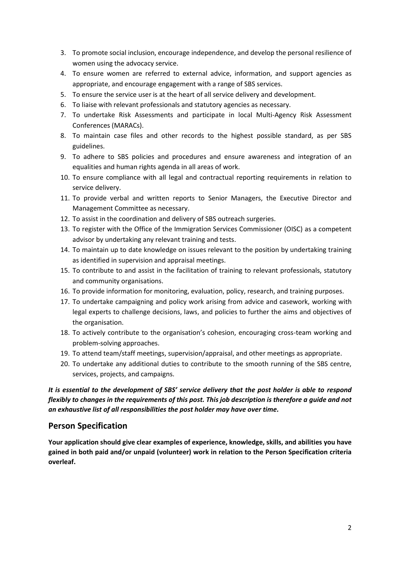- 3. To promote social inclusion, encourage independence, and develop the personal resilience of women using the advocacy service.
- 4. To ensure women are referred to external advice, information, and support agencies as appropriate, and encourage engagement with a range of SBS services.
- 5. To ensure the service user is at the heart of all service delivery and development.
- 6. To liaise with relevant professionals and statutory agencies as necessary.
- 7. To undertake Risk Assessments and participate in local Multi-Agency Risk Assessment Conferences (MARACs).
- 8. To maintain case files and other records to the highest possible standard, as per SBS guidelines.
- 9. To adhere to SBS policies and procedures and ensure awareness and integration of an equalities and human rights agenda in all areas of work.
- 10. To ensure compliance with all legal and contractual reporting requirements in relation to service delivery.
- 11. To provide verbal and written reports to Senior Managers, the Executive Director and Management Committee as necessary.
- 12. To assist in the coordination and delivery of SBS outreach surgeries.
- 13. To register with the Office of the Immigration Services Commissioner (OISC) as a competent advisor by undertaking any relevant training and tests.
- 14. To maintain up to date knowledge on issues relevant to the position by undertaking training as identified in supervision and appraisal meetings.
- 15. To contribute to and assist in the facilitation of training to relevant professionals, statutory and community organisations.
- 16. To provide information for monitoring, evaluation, policy, research, and training purposes.
- 17. To undertake campaigning and policy work arising from advice and casework, working with legal experts to challenge decisions, laws, and policies to further the aims and objectives of the organisation.
- 18. To actively contribute to the organisation's cohesion, encouraging cross-team working and problem-solving approaches.
- 19. To attend team/staff meetings, supervision/appraisal, and other meetings as appropriate.
- 20. To undertake any additional duties to contribute to the smooth running of the SBS centre, services, projects, and campaigns.

*It is essential to the development of SBS' service delivery that the post holder is able to respond flexibly to changes in the requirements of this post. This job description is therefore a guide and not an exhaustive list of all responsibilities the post holder may have over time.*

# **Person Specification**

**Your application should give clear examples of experience, knowledge, skills, and abilities you have gained in both paid and/or unpaid (volunteer) work in relation to the Person Specification criteria overleaf.**